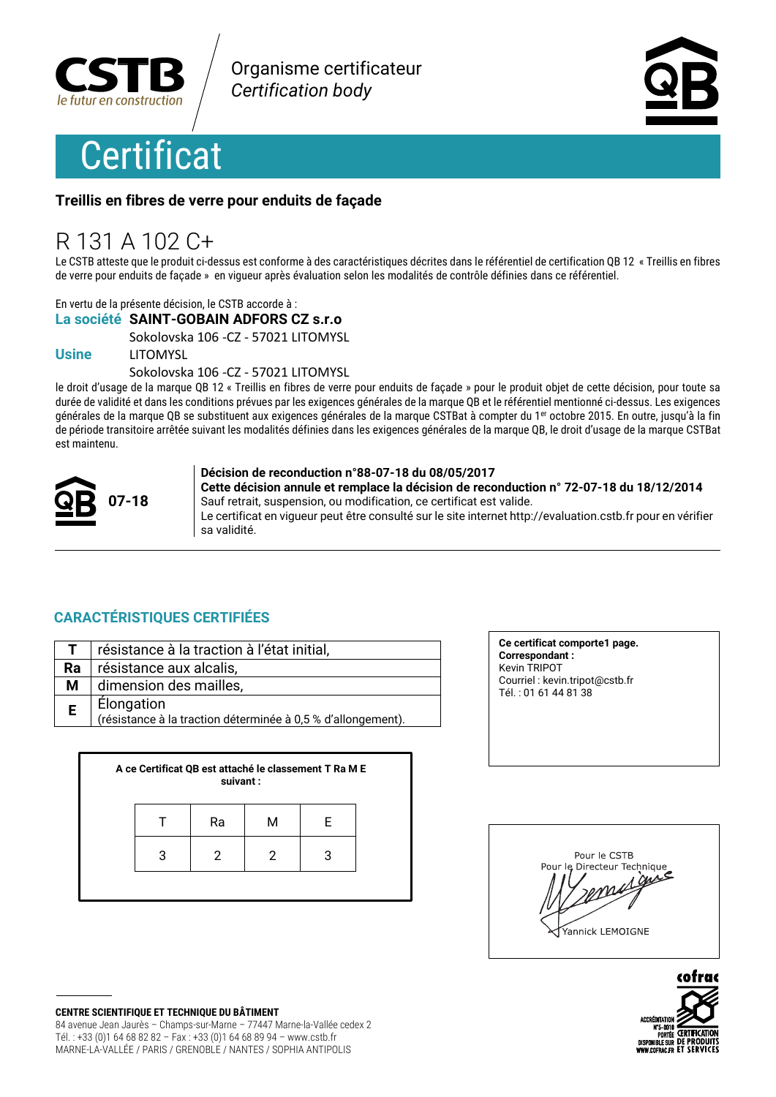



#### Treillis en fibres de verre pour enduits de façade

## R 131 A 102 C+

Le CSTB atteste que le produit ci-dessus est conforme à des caractéristiques décrites dans le référentiel de certification QB 12 « Treillis en fibres de verre pour enduits de façade » en vigueur après évaluation selon les modalités de contrôle définies dans ce référentiel.

En vertu de la présente décision, le CSTB accorde à :

#### La société SAINT-GOBAIN ADFORS CZ s.r.o

Sokolovska 106 - CZ - 57021 LITOMYSL

#### **Usine**

**LITOMYSL** Sokolovska 106 - CZ - 57021 LITOMYSL

le droit d'usage de la marque QB 12 « Treillis en fibres de verre pour enduits de facade » pour le produit objet de cette décision, pour toute sa durée de validité et dans les conditions prévues par les exigences générales de la marque QB et le référentiel mentionné ci-dessus. Les exigences générales de la marque QB se substituent aux exigences générales de la marque CSTBat à compter du 1<sup>er</sup> octobre 2015. En outre, jusqu'à la fin de période transitoire arrêtée suivant les modalités définies dans les exigences générales de la marque QB, le droit d'usage de la marque CSTBat est maintenu



#### Décision de reconduction n°88-07-18 du 08/05/2017

Cette décision annule et remplace la décision de reconduction n° 72-07-18 du 18/12/2014 Sauf retrait, suspension, ou modification, ce certificat est valide. Le certificat en vigueur peut être consulté sur le site internet http://evaluation.cstb.fr pour en vérifier sa validité.

#### **CARACTÉRISTIQUES CERTIFIÉES**

|    | résistance à la traction à l'état initial,                                 |
|----|----------------------------------------------------------------------------|
| Ra | résistance aux alcalis,                                                    |
| М  | dimension des mailles,                                                     |
| E. | Élongation<br>(résistance à la traction déterminée à 0,5 % d'allongement). |

| A ce Certificat QB est attaché le classement T Ra M E<br>suivant: |   |    |   |   |  |
|-------------------------------------------------------------------|---|----|---|---|--|
|                                                                   |   | Ra | м | F |  |
|                                                                   | 3 |    |   |   |  |
|                                                                   |   |    |   |   |  |

Ce certificat comporte1 page. **Correspondant:** Kevin TRIPOT Courriel: kevin.tripot@cstb.fr Tél.: 01 61 44 81 38





**CENTRE SCIENTIFIQUE ET TECHNIQUE DU BÂTIMENT** 84 avenue Jean Jaurès - Champs-sur-Marne - 77447 Marne-la-Vallée cedex 2 Tél.: +33 (0)1 64 68 82 82 - Fax: +33 (0)1 64 68 89 94 - www.cstb.fr MARNE-LA-VALLÉE / PARIS / GRENOBLE / NANTES / SOPHIA ANTIPOLIS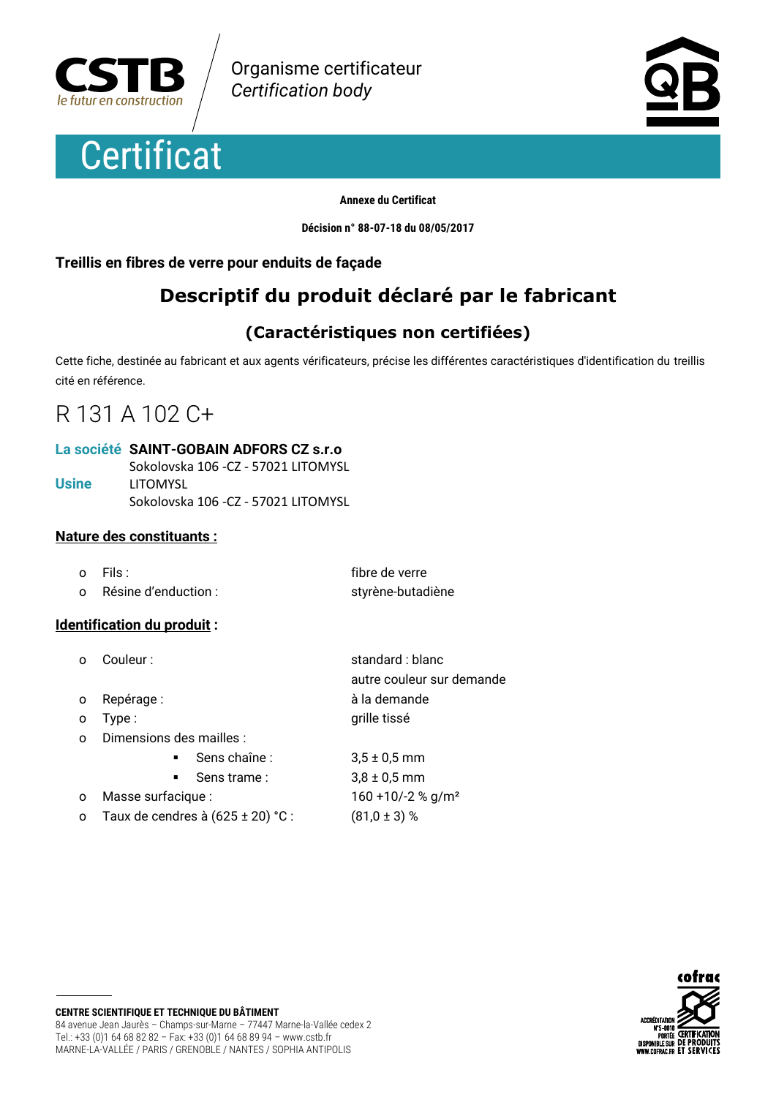





#### **Annexe du Certificat**

Décision n° 88-07-18 du 08/05/2017

#### Treillis en fibres de verre pour enduits de façade

## Descriptif du produit déclaré par le fabricant

### (Caractéristiques non certifiées)

Cette fiche, destinée au fabricant et aux agents vérificateurs, précise les différentes caractéristiques d'identification du treillis cité en référence.

## R 131 A 102 C+

#### La société SAINT-GOBAIN ADFORS CZ s.r.o

|       | Sokolovska 106 - CZ - 57021 LITOMYSL |
|-------|--------------------------------------|
| Usine | LITOMYSL                             |
|       | Sokolovska 106 - CZ - 57021 LITOMYSL |

#### **Nature des constituants:**

| $\Omega$ | - Fils :             | fibre de verre    |
|----------|----------------------|-------------------|
| $\Omega$ | Résine d'enduction : | styrène-butadiène |

#### Identification du produit :

- o Couleur:
- Repérage:  $\Omega$
- Type:  $\Omega$
- Dimensions des mailles :  $\Omega$

Sens chaîne:

Sens trame:

- Masse surfacique :  $\Omega$
- Taux de cendres à  $(625 \pm 20)$  °  $\circ$

standard : blanc autre couleur sur demande à la demande grille tissé

|     | $3,5 \pm 0.5$ mm                 |
|-----|----------------------------------|
|     | $3.8 \pm 0.5$ mm                 |
|     | $160 + 10/-2$ % g/m <sup>2</sup> |
| C : | $(81,0 \pm 3)$ %                 |

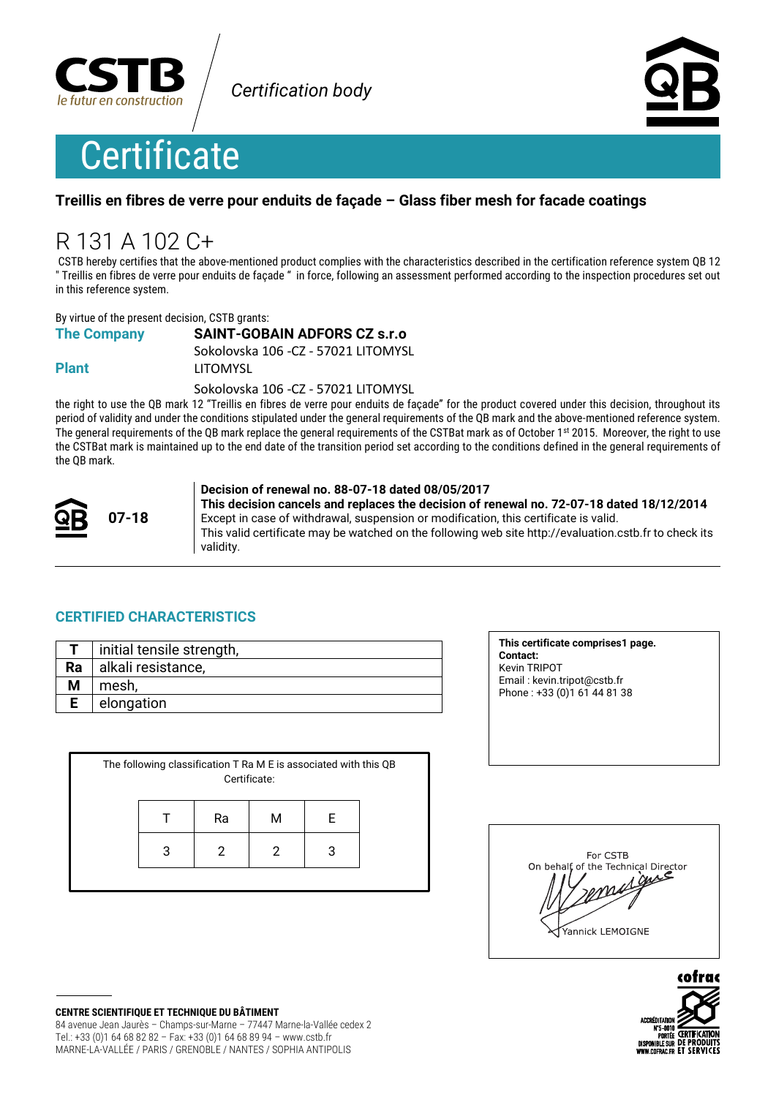

**Certification body** 



# **Certificate**

#### Treillis en fibres de verre pour enduits de facade - Glass fiber mesh for facade coatings

# R 131 A 102 C+

CSTB hereby certifies that the above-mentioned product complies with the characteristics described in the certification reference system QB 12 " Treillis en fibres de verre pour enduits de façade " in force, following an assessment performed according to the inspection procedures set out in this reference system.

By virtue of the present decision, CSTB grants:

#### **SAINT-GOBAIN ADFORS CZ s.r.o**

Sokolovska 106 - CZ - 57021 LITOMYSL

**Plant** 

**The Company** 

**LITOMYSL** 

Sokolovska 106 - CZ - 57021 LITOMYSL

the right to use the QB mark 12 "Treillis en fibres de verre pour enduits de façade" for the product covered under this decision, throughout its period of validity and under the conditions stipulated under the general requirements of the QB mark and the above-mentioned reference system. The general requirements of the QB mark replace the general requirements of the CSTBat mark as of October 1st 2015. Moreover, the right to use the CSTBat mark is maintained up to the end date of the transition period set according to the conditions defined in the general requirements of the QB mark.



#### Decision of renewal no. 88-07-18 dated 08/05/2017

This decision cancels and replaces the decision of renewal no. 72-07-18 dated 18/12/2014 Except in case of withdrawal, suspension or modification, this certificate is valid. This valid certificate may be watched on the following web site http://evaluation.cstb.fr to check its validity.

#### **CERTIFIED CHARACTERISTICS**

|    | initial tensile strength, |
|----|---------------------------|
| Ra | alkali resistance,        |
|    | mesh,                     |
|    | elongation                |

| The following classification T Ra M E is associated with this QB<br>Certificate: |   |    |   |   |  |
|----------------------------------------------------------------------------------|---|----|---|---|--|
|                                                                                  |   | Ra | М | F |  |
|                                                                                  | 3 | 2  | 2 | 3 |  |
|                                                                                  |   |    |   |   |  |

This certificate comprises1 page. Contact: Kevin TRIPOT Email: kevin.tripot@cstb.fr Phone: +33 (0) 1 61 44 81 38

| For CSTB<br>On behalf, of the Technical Director<br>auc<br>$d\ell$<br>Yannick LEMOIGNE |
|----------------------------------------------------------------------------------------|
|                                                                                        |



**CENTRE SCIENTIFIQUE ET TECHNIQUE DU BÂTIMENT** 84 avenue Jean Jaurès - Champs-sur-Marne - 77447 Marne-la-Vallée cedex 2 Tel.: +33 (0)1 64 68 82 82 - Fax: +33 (0)1 64 68 89 94 - www.cstb.fr MARNE-LA-VALLÉE / PARIS / GRENOBLE / NANTES / SOPHIA ANTIPOLIS